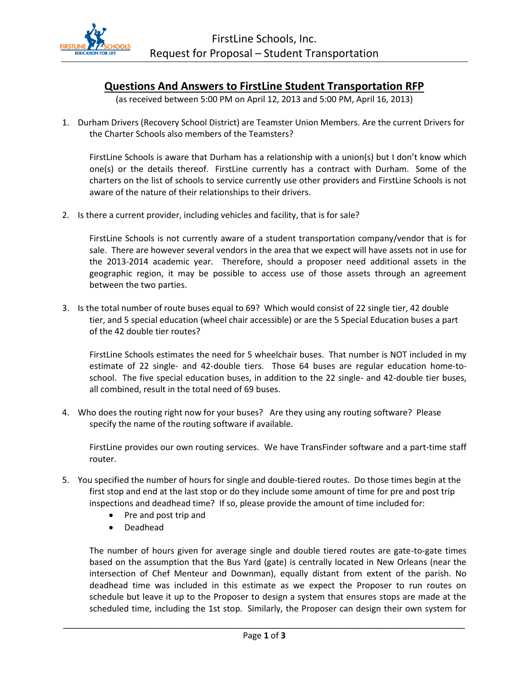

## **Questions And Answers to FirstLine Student Transportation RFP**

(as received between 5:00 PM on April 12, 2013 and 5:00 PM, April 16, 2013)

1. Durham Drivers (Recovery School District) are Teamster Union Members. Are the current Drivers for the Charter Schools also members of the Teamsters?

FirstLine Schools is aware that Durham has a relationship with a union(s) but I don't know which one(s) or the details thereof. FirstLine currently has a contract with Durham. Some of the charters on the list of schools to service currently use other providers and FirstLine Schools is not aware of the nature of their relationships to their drivers.

2. Is there a current provider, including vehicles and facility, that is for sale?

FirstLine Schools is not currently aware of a student transportation company/vendor that is for sale. There are however several vendors in the area that we expect will have assets not in use for the 2013-2014 academic year. Therefore, should a proposer need additional assets in the geographic region, it may be possible to access use of those assets through an agreement between the two parties.

3. Is the total number of route buses equal to 69? Which would consist of 22 single tier, 42 double tier, and 5 special education (wheel chair accessible) or are the 5 Special Education buses a part of the 42 double tier routes?

FirstLine Schools estimates the need for 5 wheelchair buses. That number is NOT included in my estimate of 22 single- and 42-double tiers. Those 64 buses are regular education home-toschool. The five special education buses, in addition to the 22 single- and 42-double tier buses, all combined, result in the total need of 69 buses.

4. Who does the routing right now for your buses? Are they using any routing software? Please specify the name of the routing software if available.

FirstLine provides our own routing services. We have TransFinder software and a part-time staff router.

- 5. You specified the number of hours for single and double-tiered routes. Do those times begin at the first stop and end at the last stop or do they include some amount of time for pre and post trip inspections and deadhead time? If so, please provide the amount of time included for:
	- Pre and post trip and
	- Deadhead

The number of hours given for average single and double tiered routes are gate-to-gate times based on the assumption that the Bus Yard (gate) is centrally located in New Orleans (near the intersection of Chef Menteur and Downman), equally distant from extent of the parish. No deadhead time was included in this estimate as we expect the Proposer to run routes on schedule but leave it up to the Proposer to design a system that ensures stops are made at the scheduled time, including the 1st stop. Similarly, the Proposer can design their own system for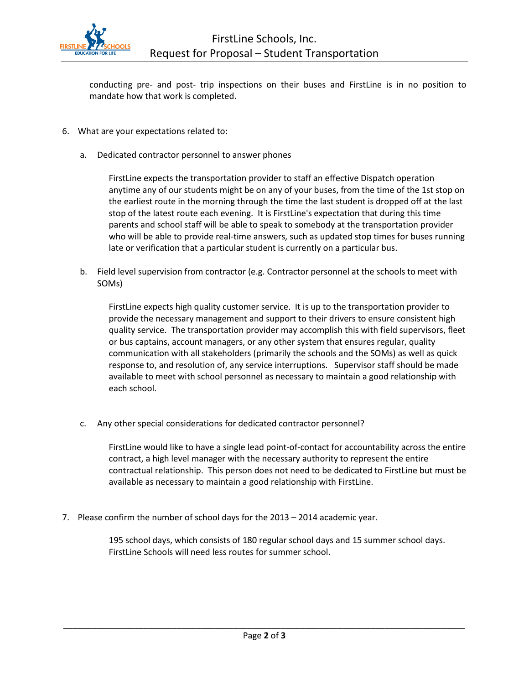

conducting pre- and post- trip inspections on their buses and FirstLine is in no position to mandate how that work is completed.

- 6. What are your expectations related to:
	- a. Dedicated contractor personnel to answer phones

FirstLine expects the transportation provider to staff an effective Dispatch operation anytime any of our students might be on any of your buses, from the time of the 1st stop on the earliest route in the morning through the time the last student is dropped off at the last stop of the latest route each evening. It is FirstLine's expectation that during this time parents and school staff will be able to speak to somebody at the transportation provider who will be able to provide real-time answers, such as updated stop times for buses running late or verification that a particular student is currently on a particular bus.

b. Field level supervision from contractor (e.g. Contractor personnel at the schools to meet with SOMs)

FirstLine expects high quality customer service. It is up to the transportation provider to provide the necessary management and support to their drivers to ensure consistent high quality service. The transportation provider may accomplish this with field supervisors, fleet or bus captains, account managers, or any other system that ensures regular, quality communication with all stakeholders (primarily the schools and the SOMs) as well as quick response to, and resolution of, any service interruptions. Supervisor staff should be made available to meet with school personnel as necessary to maintain a good relationship with each school.

c. Any other special considerations for dedicated contractor personnel?

FirstLine would like to have a single lead point-of-contact for accountability across the entire contract, a high level manager with the necessary authority to represent the entire contractual relationship. This person does not need to be dedicated to FirstLine but must be available as necessary to maintain a good relationship with FirstLine.

7. Please confirm the number of school days for the 2013 – 2014 academic year.

195 school days, which consists of 180 regular school days and 15 summer school days. FirstLine Schools will need less routes for summer school.